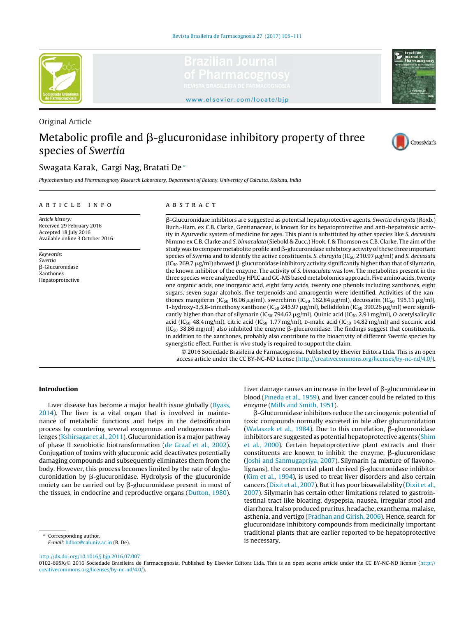

Original Article



<www.elsevier.com/locate/bjp>

# Metabolic profile and  $\beta$ -glucuronidase inhibitory property of three species of *Swertia*



# Swagata Karak, Gargi Nag, Bratati De<sup>∗</sup>

*Phytochemistry and Pharmacognosy Research Laboratory, Department of Botany, University of Calcutta, Kolkata, India*

#### ARTICLE INFO

*Article history:* Received 29 February 2016 Accepted 18 July 2016 Available online 3 October 2016

*Keywords: Swertia* β-Glucuronidase Xanthones Hepatoprotective

# A B S T R A C T

--Glucuronidase inhibitors are suggested as potential hepatoprotective agents. *Swertia chirayita* (Roxb.) Buch.-Ham. ex C.B. Clarke, Gentianaceae, is known for its hepatoprotective and anti-hepatotoxic activity in Ayurvedic system of medicine for ages. This plant is substituted by other species like *S. decussata* Nimmo ex C.B. Clarke and *S. bimaculata* (Siebold & Zucc.) Hook. f. & Thomson ex C.B. Clarke. The aim of the study was to compare metabolite profile and  $\beta$ -glucuronidase inhibitory activity of these three important species of *Swertia* and to identify the active constituents. *S. chirayita* (IC<sub>50</sub> 210.97  $\mu$ g/ml) and *S. decussata* (IC $_{50}$  269.7  $\mu$ g/ml) showed β-glucuronidase inhibitory activity significantly higher than that of silymarin, the known inhibitor of the enzyme. The activity of *S. bimaculata* was low. The metabolites present in the three species were analyzed by HPLC and GC-MS based metabolomics approach. Five amino acids, twenty one organic acids, one inorganic acid, eight fatty acids, twenty one phenols including xanthones, eight sugars, seven sugar alcohols, five terpenoids and amarogentin were identified. Activities of the xanthones mangiferin (IC<sub>50</sub> 16.06  $\mu$ g/ml), swerchirin (IC<sub>50</sub> 162.84  $\mu$ g/ml), decussatin (IC<sub>50</sub> 195.11  $\mu$ g/ml), 1-hydroxy-3,5,8-trimethoxy xanthone (IC<sub>50</sub> 245.97  $\mu$ g/ml), bellidifolin (IC<sub>50</sub> 390.26  $\mu$ g/ml) were significantly higher than that of silymarin (IC<sub>50</sub> 794.62  $\mu$ g/ml). Quinic acid (IC<sub>50</sub> 2.91 mg/ml), *O*-acetylsalicylic acid (IC<sub>50</sub> 48.4 mg/ml), citric acid (IC<sub>50</sub> 1.77 mg/ml), p-malic acid (IC<sub>50</sub> 14.82 mg/ml) and succinic acid (IC $_{50}$  38.86 mg/ml) also inhibited the enzyme  $\beta$ -glucuronidase. The findings suggest that constituents, in addition to the xanthones, probably also contribute to the bioactivity of different *Swertia* species by synergistic effect. Further *in vivo* study is required to support the claim.

© 2016 Sociedade Brasileira de Farmacognosia. Published by Elsevier Editora Ltda. This is an open access article under the CC BY-NC-ND license [\(http://creativecommons.org/licenses/by-nc-nd/4.0/](http://creativecommons.org/licenses/by-nc-nd/4.0/)).

### Introduction

Liver disease has become a major health issue globally [\(Byass,](#page-6-0) [2014\).](#page-6-0) The liver is a vital organ that is involved in maintenance of metabolic functions and helps in the detoxification process by countering several exogenous and endogenous challenges ([Kshirsagar](#page-6-0) et [al.,](#page-6-0) [2011\).](#page-6-0) Glucuronidation is a major pathway of phase II xenobiotic biotransformation [\(de](#page-6-0) [Graaf](#page-6-0) et [al.,](#page-6-0) [2002\).](#page-6-0) Conjugation of toxins with glucuronic acid deactivates potentially damaging compounds and subsequently eliminates them from the body. However, this process becomes limited by the rate of deglucuronidation by β-glucuronidase. Hydrolysis of the glucuronide moiety can be carried out by  $\beta$ -glucuronidase present in most of the tissues, in endocrine and reproductive organs ([Dutton,](#page-6-0) [1980\).](#page-6-0)

Corresponding author.

*E-mail:* [bdbot@caluniv.ac.in](mailto:bdbot@caluniv.ac.in) (B. De).

[http://dx.doi.org/10.1016/j.bjp.2016.07.007](dx.doi.org/10.1016/j.bjp.2016.07.007)

Liver damage causes an increase in the level of  $\beta$ -glucuronidase in blood ([Pineda](#page-6-0) et [al.,](#page-6-0) [1959\),](#page-6-0) and liver cancer could be related to this enzyme [\(Mills](#page-6-0) [and](#page-6-0) [Smith,](#page-6-0) [1951\).](#page-6-0)

--Glucuronidase inhibitors reduce the carcinogenic potential of toxic compounds normally excreted in bile after glucuronidation [\(Walaszek](#page-6-0) et [al.,](#page-6-0) [1984\).](#page-6-0) Due to this correlation,  $\beta$ -glucuronidase inhibitors are suggested as potential hepatoprotective agents [\(Shim](#page-6-0) et [al.,](#page-6-0) [2000\).](#page-6-0) Certain hepatoprotective plant extracts and their constituents are known to inhibit the enzyme,  $\beta$ -glucuronidase [\(Joshi](#page-6-0) [and](#page-6-0) [Sanmugapriya,](#page-6-0) [2007\).](#page-6-0) Silymarin (a mixture of flavonolignans), the commercial plant derived  $\beta$ -glucuronidase inhibitor [\(Kim](#page-6-0) et [al.,](#page-6-0) [1994\),](#page-6-0) is used to treat liver disorders and also certain cancers [\(Dixit](#page-6-0) et [al.,](#page-6-0) [2007\).](#page-6-0) Butit has poor bioavailability [\(Dixit](#page-6-0) et [al.,](#page-6-0) [2007\).](#page-6-0) Silymarin has certain other limitations related to gastrointestinal tract like bloating, dyspepsia, nausea, irregular stool and diarrhoea. It also produced pruritus, headache, exanthema, malaise, asthenia, and vertigo [\(Pradhan](#page-6-0) [and](#page-6-0) [Girish,](#page-6-0) [2006\).](#page-6-0) Hence, search for glucuronidase inhibitory compounds from medicinally important traditional plants that are earlier reported to be hepatoprotective is necessary.

<sup>0102-695</sup>X/© 2016 Sociedade Brasileira de Farmacognosia. Published by Elsevier Editora Ltda. This is an open access article under the CC BY-NC-ND license ([http://](http://creativecommons.org/licenses/by-nc-nd/4.0/) [creativecommons.org/licenses/by-nc-nd/4.0/](http://creativecommons.org/licenses/by-nc-nd/4.0/)).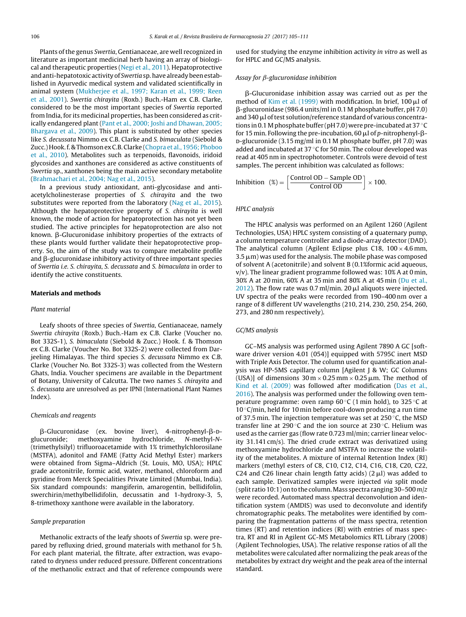Plants of the genus *Swertia*, Gentianaceae, are well recognized in literature as important medicinal herb having an array of biological and therapeutic properties [\(Negi](#page-6-0) et [al.,](#page-6-0) [2011\).](#page-6-0) Hepatoprotective andanti-hepatotoxic activity of *Swertia* sp.have already beenestablished in Ayurvedic medical system and validated scientifically in animal system ([Mukherjee](#page-6-0) et [al.,](#page-6-0) [1997;](#page-6-0) [Karan](#page-6-0) et [al.,](#page-6-0) [1999;](#page-6-0) [Reen](#page-6-0) et [al.,](#page-6-0) [2001\).](#page-6-0) *Swertia chirayita* (Roxb.) Buch.-Ham ex C.B. Clarke, considered to be the most important species of *Swertia* reported from India, for its medicinal properties, has been considered as critically endangered plant ([Pant](#page-6-0) et [al.,](#page-6-0) [2000;](#page-6-0) [Joshi](#page-6-0) [and](#page-6-0) [Dhawan,](#page-6-0) [2005;](#page-6-0) [Bhargava](#page-6-0) et [al.,](#page-6-0) [2009\).](#page-6-0) This plant is substituted by other species like *S. decussata* Nimmo ex C.B. Clarke and *S. bimaculata* (Siebold & Zucc.)Hook.f. & ThomsonexC.B.Clarke [\(Chopra](#page-6-0) et [al.,](#page-6-0) [1956;](#page-6-0) [Phoboo](#page-6-0) et [al.,](#page-6-0) [2010\).](#page-6-0) Metabolites such as terpenoids, flavonoids, iridoid glycosides and xanthones are considered as active constituents of *Swertia* sp., xanthones being the main active secondary metabolite ([Brahmachari](#page-6-0) et [al.,](#page-6-0) [2004;](#page-6-0) [Nag](#page-6-0) et [al.,](#page-6-0) [2015\).](#page-6-0)

In a previous study antioxidant, anti-glycosidase and antiacetylcholinesterase properties of *S. chirayita* and the two substitutes were reported from the laboratory ([Nag](#page-6-0) et [al.,](#page-6-0) [2015\).](#page-6-0) Although the hepatoprotective property of *S. chirayita* is well known, the mode of action for hepatoprotection has not yet been studied. The active principles for hepatoprotection are also not known. β-Glucuronidase inhibitory properties of the extracts of these plants would further validate their hepatoprotective property. So, the aim of the study was to compare metabolite profile and  $\beta$ -glucuronidase inhibitory activity of three important species of *Swertia i.e. S. chirayita*, *S. decussata* and *S. bimaculata* in order to identify the active constituents.

#### Materials and methods

#### *Plant material*

Leafy shoots of three species of *Swertia*, Gentianaceae, namely *Swertia chirayita* (Roxb.) Buch.-Ham ex C.B. Clarke (Voucher no. Bot 332S-1), *S. bimaculata* (Siebold & Zucc.) Hook. f. & Thomson ex C.B. Clarke (Voucher No. Bot 332S-2) were collected from Darjeeling Himalayas. The third species *S. decussata* Nimmo ex C.B. Clarke (Voucher No. Bot 332S-3) was collected from the Western Ghats, India. Voucher specimens are available in the Department of Botany, University of Calcutta. The two names *S. chirayita* and *S. decussata* are unresolved as per IPNI (International Plant Names Index).

#### *Chemicals and reagents*

 $\beta$ -Glucuronidase (ex. bovine liver), 4-nitrophenyl- $\beta$ -Dglucuronide; methoxyamine hydrochloride, *N*-methyl-*N*- (trimethylsilyl) trifluoroacetamide with 1% trimethylchlorosilane (MSTFA), adonitol and FAME (Fatty Acid Methyl Ester) markers were obtained from Sigma–Aldrich (St. Louis, MO, USA); HPLC grade acetonitrile, formic acid, water, methanol, chloroform and pyridine from Merck Specialities Private Limited (Mumbai, India). Six standard compounds: mangiferin, amarogentin, bellidifolin, swerchirin/methylbellidifolin, decussatin and 1-hydroxy-3, 5, 8-trimethoxy xanthone were available in the laboratory.

#### *Sample preparation*

Methanolic extracts of the leafy shoots of *Swertia* sp. were prepared by refluxing dried, ground materials with methanol for 5 h. For each plant material, the filtrate, after extraction, was evaporated to dryness under reduced pressure. Different concentrations of the methanolic extract and that of reference compounds were

used for studying the enzyme inhibition activity *in vitro* as well as for HPLC and GC/MS analysis.

#### *Assay for β-glucuronidase inhibition*

β-Glucuronidase inhibition assay was carried out as per the method of [Kim](#page-6-0) et [al.](#page-6-0) [\(1999\)](#page-6-0) with modification. In brief,  $100 \mu$ l of --glucuronidase (986.4 units/ml in 0.1 M phosphate buffer, pH 7.0) and 340  $\mu$  of test solution/reference standard of various concentrations in 0.1 M phosphate buffer (pH 7.0) were pre-incubated at 37  $\degree$ C for 15 min. Following the pre-incubation, 60 μl of *p*-nitrophenyl-βd-glucuronide (3.15 mg/ml in 0.1 M phosphate buffer, pH 7.0) was added and incubated at 37 $\degree$ C for 50 min. The colour developed was read at 405 nm in spectrophotometer. Controls were devoid of test samples. The percent inhibition was calculated as follows:

Inhibition  $\left(\%) = \left[ \frac{\text{Control OD} - \text{Sample OD}}{\text{Control OD}} \right] \times 100.$ 

#### *HPLC analysis*

The HPLC analysis was performed on an Agilent 1260 (Agilent Technologies, USA) HPLC system consisting of a quaternary pump, a column temperature controller and a diode-array detector (DAD). The analytical column (Agilent Eclipse plus C18,  $100 \times 4.6$  mm,  $3.5 \,\mu$ m) was used for the analysis. The mobile phase was composed of solvent A (acetonitrile) and solvent B (0.1%formic acid aqueous,  $v/v$ ). The linear gradient programme followed was: 10% A at 0 min, 30% A at 20 min, 60% A at 35 min and 80% A at 45 min [\(Du](#page-6-0) et [al.,](#page-6-0) [2012\).](#page-6-0) The flow rate was 0.7 ml/min. 20  $\mu$ l aliquots were injected. UV spectra of the peaks were recorded from 190–400 nm over a range of 8 different UV wavelengths (210, 214, 230, 250, 254, 260, 273, and 280 nm respectively).

#### *GC/MS analysis*

GC–MS analysis was performed using Agilent 7890 A GC [software driver version 4.01 (054)] equipped with 5795C inert MSD with Triple Axis Detector. The column used for quantification analysis was HP-5MS capillary column [Agilent J & W; GC Columns (USA)] of dimensions  $30 \text{ m} \times 0.25 \text{ mm} \times 0.25 \mu \text{m}$ . The method of [Kind](#page-6-0) et [al.](#page-6-0) [\(2009\)](#page-6-0) was followed after modification [\(Das](#page-6-0) et [al.,](#page-6-0) [2016\).](#page-6-0) The analysis was performed under the following oven temperature programme: oven ramp  $60^{\circ}$ C (1 min hold), to 325 °C at 10 ◦C/min, held for 10 min before cool-down producing a run time of 37.5 min. The injection temperature was set at 250 ◦C, the MSD transfer line at 290 $\degree$ C and the ion source at 230 $\degree$ C. Helium was used as the carrier gas (flow rate 0.723 ml/min; carrier linear velocity 31.141 cm/s). The dried crude extract was derivatized using methoxyamine hydrochloride and MSTFA to increase the volatility of the metabolites. A mixture of internal Retention Index (RI) markers (methyl esters of C8, C10, C12, C14, C16, C18, C20, C22, C24 and C26 linear chain length fatty acids)  $(2 \mu l)$  was added to each sample. Derivatized samples were injected *via* split mode (split ratio 10:1) onto the column.Mass spectra ranging 30–500 *m*/*z* were recorded. Automated mass spectral deconvolution and identification system (AMDIS) was used to deconvolute and identify chromatographic peaks. The metabolites were identified by comparing the fragmentation patterns of the mass spectra, retention times (RT) and retention indices (RI) with entries of mass spectra, RT and RI in Agilent GC-MS Metabolomics RTL Library (2008) (Agilent Technologies, USA). The relative response ratios of all the metabolites were calculated after normalizing the peak areas of the metabolites by extract dry weight and the peak area of the internal standard.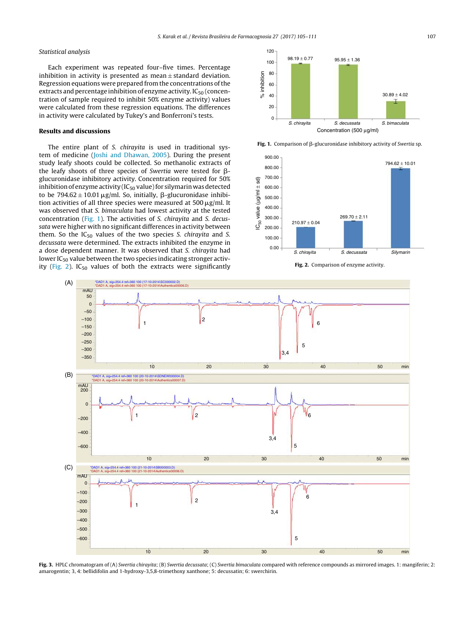#### <span id="page-2-0"></span>*Statistical analysis*

Each experiment was repeated four–five times. Percentage inhibition in activity is presented as mean $\pm$ standard deviation. Regression equations were prepared from the concentrations of the extracts and percentage inhibition of enzyme activity.  $IC_{50}$  (concentration of sample required to inhibit 50% enzyme activity) values were calculated from these regression equations. The differences in activity were calculated by Tukey's and Bonferroni's tests.

# Results and discussions

The entire plant of *S. chirayita* is used in traditional system of medicine [\(Joshi](#page-6-0) [and](#page-6-0) [Dhawan,](#page-6-0) [2005\).](#page-6-0) During the present study leafy shoots could be collected. So methanolic extracts of the leafy shoots of three species of *Swertia* were tested for βglucuronidase inhibitory activity. Concentration required for 50% inhibition of enzyme activity ( $IC_{50}$  value) for silymarin was detected to be  $794.62 \pm 10.01 \,\mu g/ml$ . So, initially,  $\beta$ -glucuronidase inhibition activities of all three species were measured at  $500 \,\mathrm{\upmu g/mL}$  It was observed that *S. bimaculata* had lowest activity at the tested concentration (Fig. 1). The activities of *S. chirayita* and *S. decussata* were higher with no significant differences in activity between them. So the IC<sup>50</sup> values of the two species *S. chirayita* and *S. decussata* were determined. The extracts inhibited the enzyme in a dose dependent manner. It was observed that *S. chirayita* had lower  $IC_{50}$  value between the two species indicating stronger activity (Fig. 2).  $IC_{50}$  values of both the extracts were significantly







Fig. 2. Comparison of enzyme activity.



Fig. 3. HPLC chromatogram of (A) *Swertia chirayita*; (B) *Swertia decussata*; (C) *Swertia bimaculata* compared with reference compounds as mirrored images. 1: mangiferin; 2: amarogentin; 3, 4: bellidifolin and 1-hydroxy-3,5,8-trimethoxy xanthone; 5: decussatin; 6: swerchirin.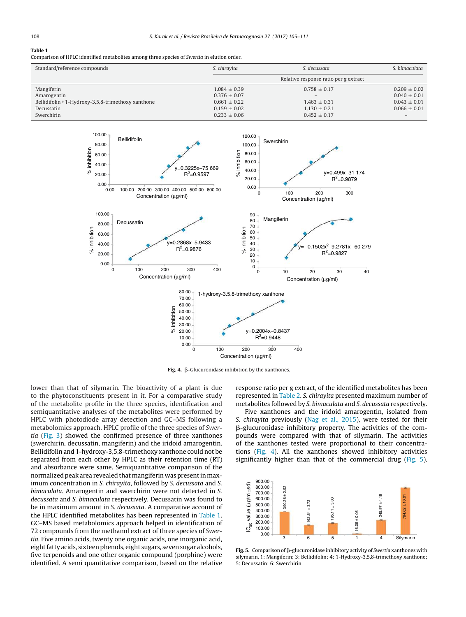# Table 1

Comparison of HPLC identified metabolites among three species of *Swertia* in elution order.

| Standard/reference compounds                       | S. chiravita<br>S. decussata          |                  | S. bimaculata    |
|----------------------------------------------------|---------------------------------------|------------------|------------------|
|                                                    | Relative response ratio per g extract |                  |                  |
| Mangiferin                                         | $1.084 \pm 0.39$                      | $0.758 \pm 0.17$ | $0.209 \pm 0.02$ |
| Amarogentin                                        | $0.376 \pm 0.07$                      |                  | $0.040 \pm 0.01$ |
| Bellidifolin + 1-Hydroxy-3,5,8-trimethoxy xanthone | $0.661 \pm 0.22$                      | $1.463 \pm 0.31$ | $0.043 \pm 0.01$ |
| Decussatin                                         | $0.159 \pm 0.02$                      | $1.130 \pm 0.21$ | $0.066 \pm 0.01$ |
| Swerchirin                                         | $0.233 \pm 0.06$                      | $0.452 \pm 0.17$ |                  |



Fig. 4.  $\beta$ -Glucuronidase inhibition by the xanthones.

lower than that of silymarin. The bioactivity of a plant is due to the phytoconstituents present in it. For a comparative study of the metabolite profile in the three species, identification and semiquantitative analyses of the metabolites were performed by HPLC with photodiode array detection and GC–MS following a metabolomics approach. HPLC profile of the three species of *Swertia* ([Fig.](#page-2-0) 3) showed the confirmed presence of three xanthones (swerchirin, decussatin, mangiferin) and the iridoid amarogentin. Bellidifolin and 1-hydroxy-3,5,8-trimethoxy xanthone could not be separated from each other by HPLC as their retention time (RT) and absorbance were same. Semiquantitative comparison of the normalized peak area revealed that mangiferin was presentin maximum concentration in *S. chirayita*, followed by *S. decussata* and *S. bimaculata*. Amarogentin and swerchirin were not detected in *S. decussata* and *S. bimaculata* respectively. Decussatin was found to be in maximum amount in *S. decussata*. A comparative account of the HPLC identified metabolites has been represented in Table 1. GC–MS based metabolomics approach helped in identification of 72 compounds from the methanol extract of three species of *Swertia*. Five amino acids, twenty one organic acids, one inorganic acid, eight fatty acids, sixteen phenols, eight sugars, seven sugar alcohols, five terpenoids and one other organic compound (porphine) were identified. A semi quantitative comparison, based on the relative

response ratio per g extract, of the identified metabolites has been represented in [Table](#page-4-0) 2. *S. chirayita* presented maximum number of metabolites followed by *S. bimaculata* and *S. decussata* respectively.

Five xanthones and the iridoid amarogentin, isolated from *S. chirayita* previously [\(Nag](#page-6-0) et [al.,](#page-6-0) [2015\),](#page-6-0) were tested for their --glucuronidase inhibitory property. The activities of the compounds were compared with that of silymarin. The activities of the xanthones tested were proportional to their concentrations (Fig. 4). All the xanthones showed inhibitory activities significantly higher than that of the commercial drug (Fig. 5).



**Fig. 5.** Comparison of  $\beta$ -glucuronidase inhibitory activity of *Swertia* xanthones with silymarin. 1: Mangiferin; 3: Bellidifolin; 4: 1-Hydroxy-3,5,8-trimethoxy xanthone; 5: Decussatin; 6: Swerchirin.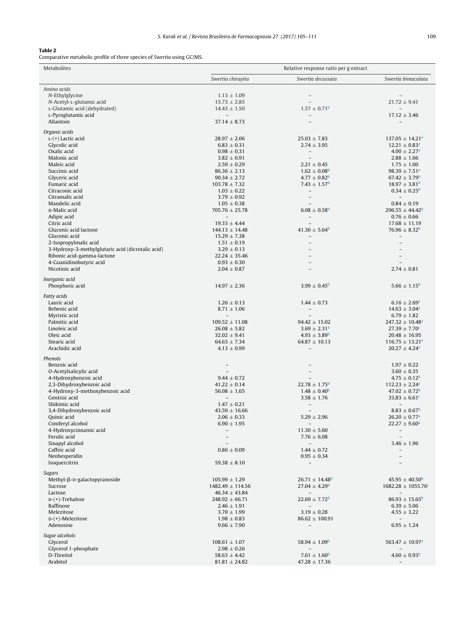# <span id="page-4-0"></span>Table 2

Comparative metabolic profile of three species of *Swertia* using GC/MS.

| <b>Metabolites</b>                                | Relative response ratio per g extract       |                                                 |                                                     |
|---------------------------------------------------|---------------------------------------------|-------------------------------------------------|-----------------------------------------------------|
|                                                   | Swertia chirayita                           | Swertia decussata                               | Swertia bimaculata                                  |
| Amino acids                                       |                                             |                                                 |                                                     |
| N-Ethylglycine                                    | $1.13 \pm 1.09$                             |                                                 |                                                     |
| N-Acetyl-L-glutamic acid                          | $15.73 \pm 2.85$                            |                                                 | $21.72 \pm 9.41$                                    |
| L-Glutamic acid (dehydrated)                      | $14.43 \pm 1.50$                            | $1.57 \pm 0.71^{\rm b}$                         | $\equiv$                                            |
| L-Pyroglutamic acid                               |                                             | $\equiv$                                        | $17.12 \pm 3.46$                                    |
| Allantoin                                         | $37.14 \pm 8.73$                            |                                                 |                                                     |
| Organic acids                                     |                                             |                                                 |                                                     |
| $L-(+)$ Lactic acid                               | $28.97 \pm 2.06$                            | $25.03 \pm 7.83$                                | $137.05 \pm 14.21$ <sup>a</sup>                     |
| Glycolic acid                                     | $6.83 \pm 0.31$                             | $2.74 \pm 3.95$                                 | $12.21 \pm 0.83$ <sup>a</sup>                       |
| Oxalic acid                                       | $0.98 \pm 0.31$                             | $\overline{\phantom{a}}$                        | $4.00 \pm 2.27$ <sup>a</sup>                        |
| Malonic acid                                      | $3.82 \pm 0.91$                             | $\overline{\phantom{a}}$                        | $2.88 \pm 1.66$                                     |
| Maleic acid<br>Succinic acid                      | $2.59 \pm 0.29$<br>$86.36 \pm 2.13$         | $2.21 \pm 0.45$<br>$1.62 \pm 0.08$ <sup>b</sup> | $1.75 \pm 1.00$<br>$98.39 \pm 7.51^a$               |
| Glyceric acid                                     | $90.34 \pm 2.72$                            | $4.77 \pm 0.82^{\rm b}$                         | $67.42 \pm 3.79^{\circ}$                            |
| Fumaric acid                                      | $103.78 \pm 7.32$                           | $7.43 \pm 1.57^{\rm b}$                         | $18.97 \pm 3.81^{\circ}$                            |
| Citraconic acid                                   | $1.03 \pm 0.22$                             | $\overline{\phantom{a}}$                        | $0.34 \pm 0.25^{\rm b}$                             |
| Citramalic acid                                   | $3.79 \pm 0.92$                             | $\overline{\phantom{a}}$                        |                                                     |
| Mandelic acid                                     | $1.05 \pm 0.38$                             |                                                 | $0.84 \pm 0.19$                                     |
| D-Malic acid                                      | $705.76 \pm 25.78$                          | $6.08 \pm 0.58$ <sup>b</sup>                    | $296.55 \pm 44.42^b$                                |
| Adipic acid                                       |                                             | $\overline{\phantom{a}}$                        | $0.76 \pm 0.66$                                     |
| Citric acid<br>Gluconic acid lactone              | $19.33 \pm 4.44$<br>$144.13 \pm 14.48$      | $41.30 \pm 5.64^{\circ}$                        | $17.68 \pm 11.19$<br>$76.96 \pm 8.32^{\rm b}$       |
| Gluconic acid                                     | $15.29 \pm 7.38$                            | $\equiv$                                        | $\equiv$                                            |
| 2-Isopropylmalic acid                             | $1.51 \pm 0.19$                             | $\equiv$                                        |                                                     |
| 3-Hydroxy-3-methylglutaric acid (dicrotalic acid) | $3.29 \pm 0.13$                             |                                                 |                                                     |
| Ribonic acid-gamma-lactone                        | $22.24 \pm 35.46$                           | $\equiv$                                        |                                                     |
| 4-Guanidinobutyric acid                           | $0.93 \pm 0.30$                             | $\overline{\phantom{a}}$                        |                                                     |
| Nicotinic acid                                    | $2.04 \pm 0.87$                             |                                                 | $2.74 \pm 0.81$                                     |
| Inorganic acid                                    |                                             |                                                 |                                                     |
| Phosphoric acid                                   | $14.97 \pm 2.36$                            | $3.99 \pm 0.45^{\circ}$                         | $5.66 \pm 1.15^{\circ}$                             |
|                                                   |                                             |                                                 |                                                     |
| Fatty acids                                       |                                             |                                                 |                                                     |
| Lauric acid<br>Behenic acid                       | $1.26 \pm 0.13$<br>$8.71 \pm 1.06$          | $1.44 \pm 0.73$<br>$\overline{\phantom{a}}$     | $6.16 \pm 2.69^{\rm a}$<br>$14.63 \pm 3.04^{\circ}$ |
| Myristic acid                                     | $\overline{\phantom{a}}$                    | $\equiv$                                        | $6.79 \pm 1.82$                                     |
| Palmitic acid                                     | $109.52 \pm 11.08$                          | $94.42 \pm 15.02$                               | $247.32 \pm 10.48^a$                                |
| Linoleic acid                                     | $26.08 \pm 5.82$                            | $3.69 \pm 2.31^{\rm b}$                         | $27.39 \pm 7.70^{\circ}$                            |
| Oleic acid                                        | $32.02 \pm 9.41$                            | $4.93 \pm 3.89^{\rm b}$                         | $20.48 \pm 16.95$                                   |
| Stearic acid                                      | $64.63 \pm 7.34$                            | $64.87 \pm 10.13$                               | $116.75 \pm 13.21^a$                                |
| Arachidic acid                                    | $4.13 \pm 0.99$                             | $\overline{\phantom{a}}$                        | $20.27 \pm 4.24$ <sup>a</sup>                       |
| Phenols                                           |                                             |                                                 |                                                     |
| Benzoic acid                                      |                                             |                                                 | $1.97 \pm 0.22$                                     |
| O-Acetylsalicylic acid                            |                                             | $\overline{\phantom{a}}$                        | $3.60 \pm 0.35$                                     |
| 4-Hydroxybenzoic acid                             | $9.44 \pm 0.72$                             |                                                 | $4.75 \pm 0.12^{\rm b}$                             |
| 2,3-Dihydroxybenzoic acid                         | $41.22 \pm 0.14$                            | $22.78 \pm 1.75^{\rm b}$                        | $112.23 \pm 2.24$ <sup>a</sup>                      |
| 4-Hydroxy-3-methoxybenzoic acid                   | $56.08 \pm 1.65$                            | $1.48 \pm 0.40^{\rm b}$                         | $47.02 \pm 0.72^{\circ}$                            |
| Gentisic acid<br>Shikimic acid                    | $\overline{\phantom{a}}$<br>$1.47 \pm 0.21$ | $3.58 \pm 1.76$                                 | 33.83 $\pm$ 6.61 <sup>c</sup>                       |
| 3,4-Dihydroxybenzoic acid                         | $43.59 \pm 16.66$                           | $\sim$<br>$\overline{\phantom{a}}$              | $\sim$<br>$8.83 \pm 0.67^{\rm b}$                   |
| Quinic acid                                       | $2.06 \pm 0.33$                             | $5.29 \pm 2.96$                                 | $26.20 \pm 0.77$ <sup>a</sup>                       |
| Coniferyl alcohol                                 | $6.90 \pm 1.95$                             | $\overline{\phantom{a}}$                        | $22.27 \pm 9.60^a$                                  |
| 4-Hydroxycinnamic acid                            | $\overline{\phantom{a}}$                    | $11.30 \pm 5.60$                                | $\overline{\phantom{a}}$                            |
| Ferulic acid                                      | $\qquad \qquad -$                           | $7.76 \pm 6.08$                                 | $\overline{\phantom{a}}$                            |
| Sinapyl alcohol                                   | $\equiv$                                    | $\overline{\phantom{a}}$                        | $3.46 \pm 1.96$                                     |
| Caffeic acid                                      | $0.86 \pm 0.09$                             | $1.44 \pm 0.72$                                 | $\overline{\phantom{a}}$                            |
| Neohesperidin                                     |                                             | $0.95 \pm 0.34$                                 |                                                     |
| Isoquercitrin                                     | $59.38 \pm 8.10$                            | $\overline{\phantom{a}}$                        |                                                     |
| Sugars                                            |                                             |                                                 |                                                     |
| Methyl-β-D-galactopyranoside                      | $105.99 \pm 1.29$                           | $26.71 \pm 14.48$ <sup>b</sup>                  | $45.95 \pm 40.50^{\circ}$                           |
| Sucrose                                           | $1482.49 \pm 114.56$                        | $27.04 \pm 4.29$ <sup>b</sup>                   | $1682.28 \pm 1055.76$ <sup>c</sup>                  |
| Lactose<br>D-(+)-Trehalose                        | $46.34 \pm 43.84$<br>$248.92 \pm 66.71$     | $-$<br>$22.69 \pm 7.72^{\rm b}$                 | $86.93 \pm 15.65^{\circ}$                           |
| Raffinose                                         | $2.46 \pm 1.91$                             | $\overline{\phantom{a}}$                        | $6.39 \pm 5.06$                                     |
| Melezitose                                        | $3.70 \pm 1.99$                             | $3.19 \pm 0.28$                                 | $4.55 \pm 3.22$                                     |
| D-(+)-Melezitose                                  | $1.98 \pm 0.83$                             | $86.62 \pm 100.91$                              | $\overline{\phantom{a}}$                            |
| Adenosine                                         | $9.66 \pm 7.90$                             | $\overline{\phantom{a}}$                        | $6.95 \pm 1.24$                                     |
| Sugar alcohols                                    |                                             |                                                 |                                                     |
| Glycerol                                          | $108.61 \pm 1.07$                           | $58.94 \pm 1.09^{\circ}$                        | $563.47 \pm 10.97$ <sup>a</sup>                     |
| Glycerol 1-phosphate                              | $2.98 \pm 0.26$                             |                                                 |                                                     |
| D-Threitol                                        | $58.63 \pm 4.42$                            | $7.61 \pm 1.60^{\circ}$                         | $4.60 \pm 0.93^{\rm b}$                             |
| Arabitol                                          | $81.81 \pm 24.82$                           | $47.28 \pm 17.36$                               | $\qquad \qquad -$                                   |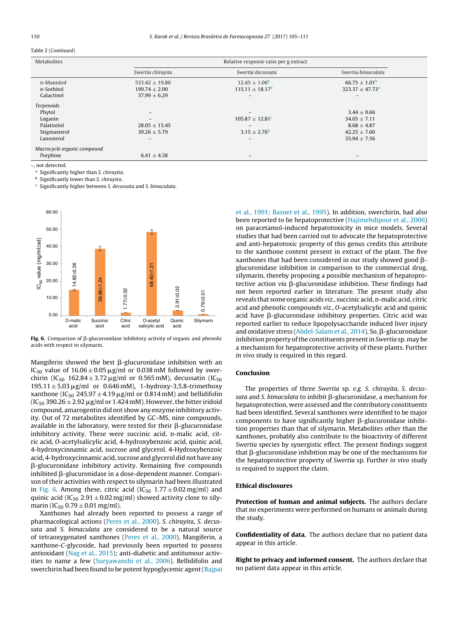#### <span id="page-5-0"></span>Table 2 (*Continued*)

| Metabolites                 | Relative response ratio per g extract |                                 |                      |  |  |
|-----------------------------|---------------------------------------|---------------------------------|----------------------|--|--|
|                             | Swertia chirayita                     | Swertig decussata               | Swertia bimaculata   |  |  |
| <b>D-Mannitol</b>           | $533.42 \pm 19.80$                    | $12.45 \pm 1.06^{\circ}$        | $66.75 + 1.01b$      |  |  |
| <b>D-Sorbitol</b>           | $199.74 \pm 2.90$                     | $115.11 \pm 18.17^{\rm b}$      | $323.37 \pm 47.73^a$ |  |  |
| Galactinol                  | $37.99 \pm 6.29$                      |                                 |                      |  |  |
| Terpenoids                  |                                       |                                 |                      |  |  |
| Phytol                      |                                       |                                 | $3.44 \pm 0.66$      |  |  |
| Loganin                     | $\qquad \qquad -$                     | $105.87 \pm 12.81$ <sup>c</sup> | $34.05 \pm 7.11$     |  |  |
| Palatinitol                 | $28.05 \pm 15.45$                     |                                 | $8.68 \pm 4.87$      |  |  |
| Stigmasterol                | $39.26 \pm 5.79$                      | $3.15 \pm 2.76^{\rm b}$         | $42.25 \pm 7.60$     |  |  |
| Lanosterol                  | $\qquad \qquad -$                     | -                               | $35.94 \pm 7.56$     |  |  |
| Macrocycle organic compound |                                       |                                 |                      |  |  |
| Porphine                    | $6.41 \pm 4.38$                       |                                 |                      |  |  |

–, not detected.

<sup>a</sup> Significantly higher than *S. chirayita*.

<sup>b</sup> Significantly lower than *S. chirayita*.

<sup>c</sup> Significantly higher between *S. decussata* and *S. bimaculata*.



**Fig. 6.** Comparison of  $\beta$ -glucuronidase inhibitory activity of organic and phenolic acids with respect to silymarin.

Mangiferin showed the best  $\beta$ -glucuronidase inhibition with an IC<sub>50</sub> value of  $16.06 \pm 0.05 \,\mu$ g/ml or 0.038 mM followed by swerchirin (IC<sub>50</sub> 162.84 ± 3.72 µg/ml or 0.565 mM), decussatin (IC<sub>50</sub>  $195.11 \pm 5.03 \,\mu$ g/ml or 0.646 mM), 1-hydroxy-3,5,8-trimethoxy xanthone (IC<sub>50</sub> 245.97  $\pm$  4.19  $\mu$ g/ml or 0.814 mM) and bellidifolin  $(IC_{50}$  390.26  $\pm$  2.92  $\mu$ g/ml or 1.424 mM). However, the bitter iridoid compound, amarogentin did not show any enzyme inhibitory activity. Out of 72 metabolites identified by GC–MS, nine compounds, available in the laboratory, were tested for their  $\beta$ -glucuronidase inhibitory activity. These were succinic acid, D-malic acid, citric acid, *O*-acetylsalicylic acid, 4-hydroxybenzoic acid, quinic acid, 4-hydroxycinnamic acid, sucrose and glycerol. 4-Hydroxybenzoic acid, 4-hydroxycinnamic acid, sucrose and glycerol did not have any --glucuronidase inhibitory activity. Remaining five compounds inhibited β-glucuronidase in a dose-dependent manner. Comparison of their activities with respect to silymarin had been illustrated in Fig. 6. Among these, citric acid (IC<sub>50</sub> 1.77  $\pm$  0.02 mg/ml) and quinic acid (IC<sub>50</sub> 2.91  $\pm$  0.02 mg/ml) showed activity close to silymarin (IC<sub>50</sub> 0.79  $\pm$  0.01 mg/ml).

Xanthones had already been reported to possess a range of pharmacological actions [\(Peres](#page-6-0) et [al.,](#page-6-0) [2000\).](#page-6-0) *S. chirayita*, *S. decussata* and *S. bimaculata* are considered to be a natural source of tetraoxygenated xanthones [\(Peres](#page-6-0) et [al.,](#page-6-0) [2000\).](#page-6-0) Mangiferin, a xanthone-*C*-glycoside, had previously been reported to possess antioxidant [\(Nag](#page-6-0) et [al.,](#page-6-0) [2015\);](#page-6-0) anti-diabetic and antitumour activities to name a few [\(Suryawanshi](#page-6-0) et [al.,](#page-6-0) [2006\).](#page-6-0) Bellidifolin and swerchirin had been found to be potent hypoglycemic agent([Bajpai](#page-6-0)

et [al.,](#page-6-0) [1991;](#page-6-0) [Basnet](#page-6-0) et [al.,](#page-6-0) [1995\).](#page-6-0) In addition, swerchirin, had also been reported to be hepatoprotective ([Hajimehdipoor](#page-6-0) et [al.,](#page-6-0) [2006\)](#page-6-0) on paracetamol-induced hepatotoxicity in mice models. Several studies that had been carried out to advocate the hepatoprotective and anti-hepatotoxic property of this genus credits this attribute to the xanthone content present in extract of the plant. The five xanthones that had been considered in our study showed good  $\beta$ glucuronidase inhibition in comparison to the commercial drug, silymarin, thereby proposing a possible mechanism of hepatoprotective action *viα* β-glucuronidase inhibition. These findings had not been reported earlier in literature. The present study also reveals that some organic acids *viz.*, succinic acid, p-malic acid, citric acid and phenolic compounds *viz.*, *O*-acetylsalicylic acid and quinic acid have  $\beta$ -glucuronidase inhibitory properties. Citric acid was reported earlier to reduce lipopolysaccharide induced liver injury and oxidative stress ([Abdel-Salam](#page-6-0) et [al.,](#page-6-0) [2014\).](#page-6-0) So,  $\beta$ -glucuronidase inhibition property of the constituents present in *Swertia* sp. may be a mechanism for hepatoprotective activity of these plants. Further *in vivo* study is required in this regard.

# Conclusion

The properties of three *Swertia* sp. *e.g*. *S. chirayita*, *S. decus*s*ata* and *S. bimaculata* to inhibit β-glucuronidase, a mechanism for hepatoprotection, were assessed and the contributory constituents had been identified. Several xanthones were identified to be major  $\mathop{\mathsf{components}}$  to have significantly higher  $\beta$ -glucuronidase inhibition properties than that of silymarin. Metabolites other than the xanthones, probably also contribute to the bioactivity of different *Swertia* species by synergistic effect. The present findings suggest that  $\beta$ -glucuronidase inhibition may be one of the mechanisms for the hepatoprotective property of *Swertia* sp. Further *in vivo* study is required to support the claim.

#### Ethical disclosures

Protection of human and animal subjects. The authors declare that no experiments were performed on humans or animals during the study.

Confidentiality of data. The authors declare that no patient data appear in this article.

Right to privacy and informed consent. The authors declare that no patient data appear in this article.